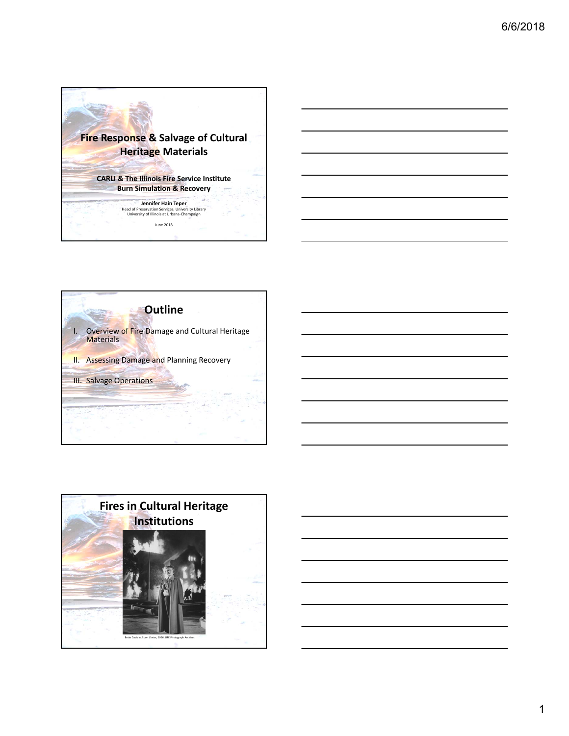







1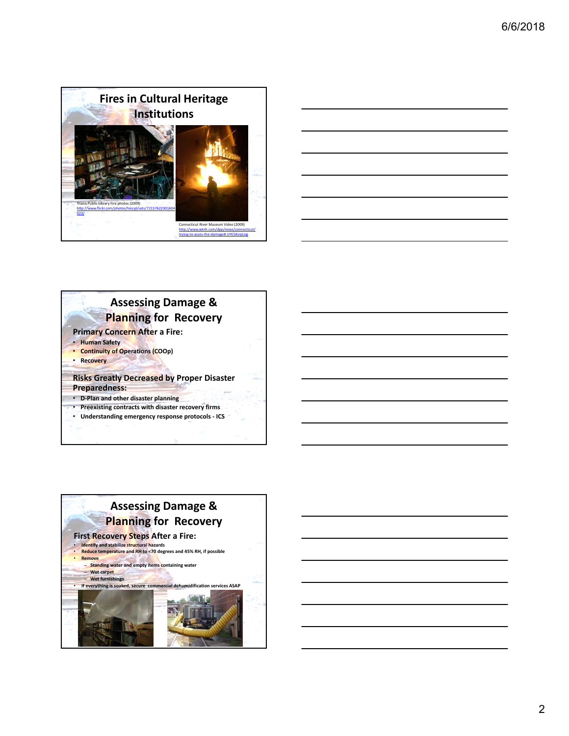





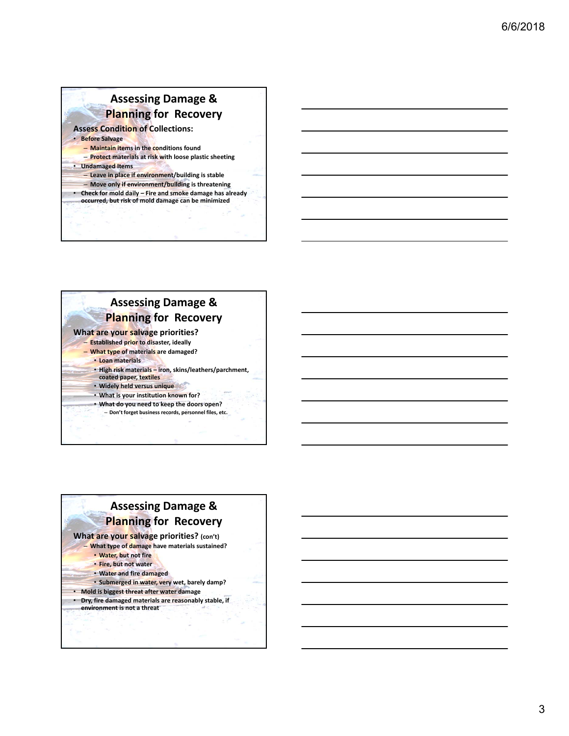# **Assessing Damage & Planning for Recovery**

**Assess Condition of Collections:**

• **Before Salvage** – **Maintain items in the conditions found**

– **Protect materials at risk with loose plastic sheeting** 

• **Undamaged Items**

– **Leave in place if environment/building is stable**

– **Move only if environment/building is threatening**

• **Check for mold daily – Fire and smoke damage has already occurred, but risk of mold damage can be minimized**

### **What are your salvage priorities?** – **Established prior to disaster, ideally** – **What type of materials are damaged?** • **Loan materials** • **High risk materials – iron, skins/leathers/parchment, coated paper, textiles** • **Widely held versus unique** • **What is your institution known for?** • **What do you need to keep the doors open?** – **Don't forget business records, personnel files, etc. Assessing Damage & Planning for Recovery**

#### **Assessing Damage & Planning for Recovery What are your salvage priorities? (con't)** – **What type of damage have materials sustained?** • **Water, but not fire** • **Fire, but not water** • **Water and fire damaged** • **Submerged in water, very wet, barely damp?** • **Mold is biggest threat after water damage** • **Dry, fire damaged materials are reasonably stable, if environment is not a threat**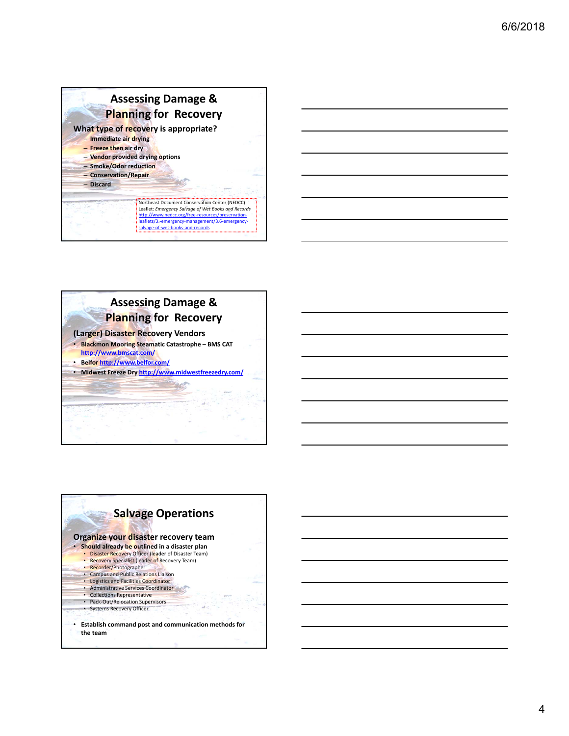## **Assessing Damage & Planning for Recovery What type of recovery is appropriate?**

- **Immediate air drying** – **Freeze then air dry**
- **Vendor provided drying options**
- **Smoke/Odor reduction** – **Conservation/Repair**
- **Discard**

Northeast Document Conservation Center (NEDCC) Leaflet: *Emergency Salvage of Wet Books and Records* http://www.nedcc.org/free-re leaflets/3.-emergency-manage salvage-of-wet-books-and-records



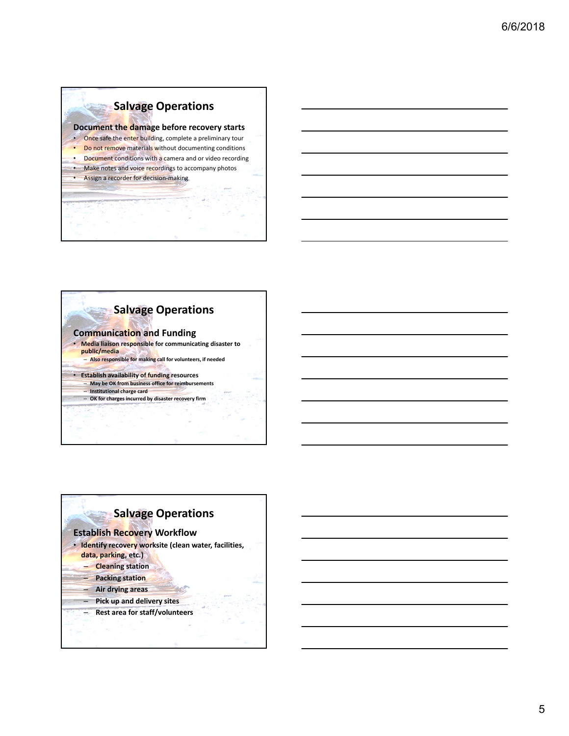### **Salvage Operations**

#### **Document the damage before recovery starts**

- Once safe the enter building, complete a preliminary tour
- Do not remove materials without documenting conditions • Document conditions with a camera and or video recording
- Make notes and voice recordings to accompany photos
- Assign a recorder for decision-making



## **Salvage Operations**

### **Establish Recovery Workflow**

- **Identify recovery worksite (clean water, facilities,** 
	- **data, parking, etc.)**
	- **Cleaning station**
	- **Packing station**
	- **Air drying areas**
	- **Pick up and delivery sites**
	- **Rest area for staff/volunteers**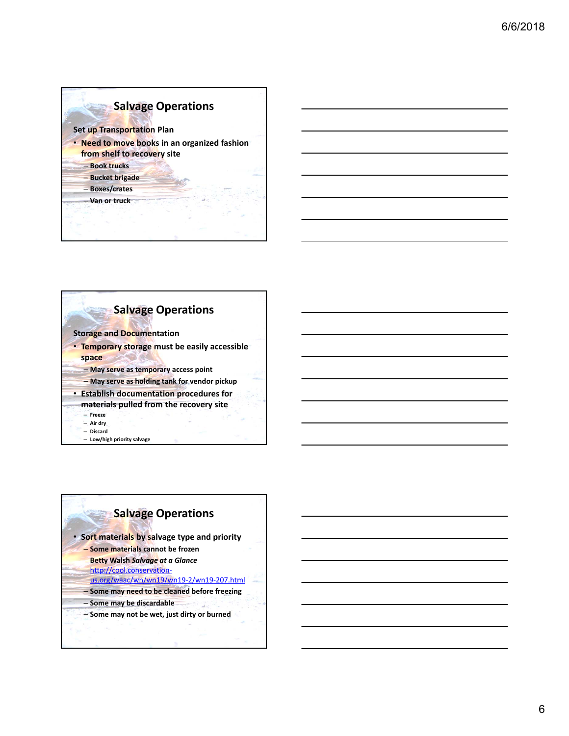### **Salvage Operations**

#### **Set up Transportation Plan**

- **Need to move books in an organized fashion from shelf to recovery site**
	- **Book trucks**
	- **Bucket brigade** – **Boxes/crates**
	- **Van or truck**
- **Salvage Operations**
- **Storage and Documentation**
- **Temporary storage must be easily accessible space**
	- **May serve as temporary access point**
	- **May serve as holding tank for vendor pickup**
- **Establish documentation procedures for**
- **materials pulled from the recovery site**
	- **Freeze**
	- **Air dry** – **Discard**
	- **Low/high priority salvage**

### **Salvage Operations**

• **Sort materials by salvage type and priority** – **Some materials cannot be frozen Betty Walsh** *Salvage at a Glance*  http://cool.conservationus.org/waac/wn/wn19/wn19‐2/wn19‐207.html – **Some may need to be cleaned before freezing** – **Some may be discardable** – **Some may not be wet, just dirty or burned**